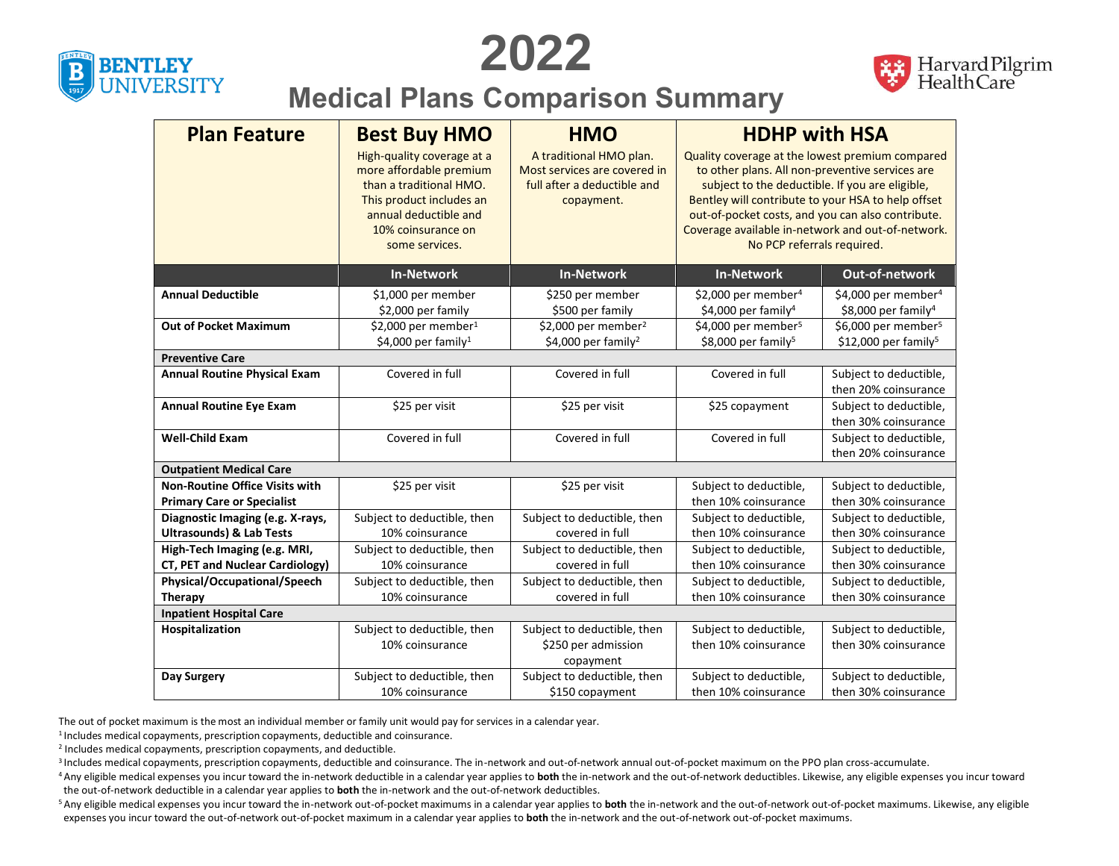





## **Medical Plans Comparison Summary**

| <b>Plan Feature</b>                   | <b>Best Buy HMO</b>                                                                                                                                                           | <b>HMO</b>                                                                                           | <b>HDHP with HSA</b>                                                                                                                                                                                                                                                                                                                                |                                                                      |  |  |
|---------------------------------------|-------------------------------------------------------------------------------------------------------------------------------------------------------------------------------|------------------------------------------------------------------------------------------------------|-----------------------------------------------------------------------------------------------------------------------------------------------------------------------------------------------------------------------------------------------------------------------------------------------------------------------------------------------------|----------------------------------------------------------------------|--|--|
|                                       | High-quality coverage at a<br>more affordable premium<br>than a traditional HMO.<br>This product includes an<br>annual deductible and<br>10% coinsurance on<br>some services. | A traditional HMO plan.<br>Most services are covered in<br>full after a deductible and<br>copayment. | Quality coverage at the lowest premium compared<br>to other plans. All non-preventive services are<br>subject to the deductible. If you are eligible,<br>Bentley will contribute to your HSA to help offset<br>out-of-pocket costs, and you can also contribute.<br>Coverage available in-network and out-of-network.<br>No PCP referrals required. |                                                                      |  |  |
|                                       | <b>In-Network</b>                                                                                                                                                             | <b>In-Network</b>                                                                                    | <b>In-Network</b>                                                                                                                                                                                                                                                                                                                                   | Out-of-network                                                       |  |  |
| <b>Annual Deductible</b>              | \$1,000 per member<br>\$2,000 per family                                                                                                                                      | \$250 per member<br>\$500 per family                                                                 | \$2,000 per member <sup>4</sup><br>\$4,000 per family <sup>4</sup>                                                                                                                                                                                                                                                                                  | \$4,000 per member <sup>4</sup><br>\$8,000 per family <sup>4</sup>   |  |  |
| <b>Out of Pocket Maximum</b>          | \$2,000 per member <sup>1</sup><br>\$4,000 per family <sup>1</sup>                                                                                                            | \$2,000 per member <sup>2</sup><br>\$4,000 per family <sup>2</sup>                                   | \$4,000 per member <sup>5</sup><br>\$8,000 per family <sup>5</sup>                                                                                                                                                                                                                                                                                  | \$6,000 per member <sup>5</sup><br>$$12,000$ per family <sup>5</sup> |  |  |
| <b>Preventive Care</b>                |                                                                                                                                                                               |                                                                                                      |                                                                                                                                                                                                                                                                                                                                                     |                                                                      |  |  |
| <b>Annual Routine Physical Exam</b>   | Covered in full                                                                                                                                                               | Covered in full                                                                                      | Covered in full                                                                                                                                                                                                                                                                                                                                     | Subject to deductible,<br>then 20% coinsurance                       |  |  |
| <b>Annual Routine Eye Exam</b>        | \$25 per visit                                                                                                                                                                | \$25 per visit                                                                                       | \$25 copayment                                                                                                                                                                                                                                                                                                                                      | Subject to deductible,<br>then 30% coinsurance                       |  |  |
| <b>Well-Child Exam</b>                | Covered in full                                                                                                                                                               | Covered in full                                                                                      | Covered in full                                                                                                                                                                                                                                                                                                                                     | Subject to deductible,<br>then 20% coinsurance                       |  |  |
| <b>Outpatient Medical Care</b>        |                                                                                                                                                                               |                                                                                                      |                                                                                                                                                                                                                                                                                                                                                     |                                                                      |  |  |
| <b>Non-Routine Office Visits with</b> | \$25 per visit                                                                                                                                                                | \$25 per visit                                                                                       | Subject to deductible,                                                                                                                                                                                                                                                                                                                              | Subject to deductible,                                               |  |  |
| <b>Primary Care or Specialist</b>     |                                                                                                                                                                               |                                                                                                      | then 10% coinsurance                                                                                                                                                                                                                                                                                                                                | then 30% coinsurance                                                 |  |  |
| Diagnostic Imaging (e.g. X-rays,      | Subject to deductible, then                                                                                                                                                   | Subject to deductible, then                                                                          | Subject to deductible,                                                                                                                                                                                                                                                                                                                              | Subject to deductible,                                               |  |  |
| <b>Ultrasounds) &amp; Lab Tests</b>   | 10% coinsurance                                                                                                                                                               | covered in full                                                                                      | then 10% coinsurance                                                                                                                                                                                                                                                                                                                                | then 30% coinsurance                                                 |  |  |
| High-Tech Imaging (e.g. MRI,          | Subject to deductible, then                                                                                                                                                   | Subject to deductible, then                                                                          | Subject to deductible,                                                                                                                                                                                                                                                                                                                              | Subject to deductible,                                               |  |  |
| CT, PET and Nuclear Cardiology)       | 10% coinsurance                                                                                                                                                               | covered in full                                                                                      | then 10% coinsurance                                                                                                                                                                                                                                                                                                                                | then 30% coinsurance                                                 |  |  |
| Physical/Occupational/Speech          | Subject to deductible, then                                                                                                                                                   | Subject to deductible, then                                                                          | Subject to deductible,                                                                                                                                                                                                                                                                                                                              | Subject to deductible,                                               |  |  |
| Therapy                               | 10% coinsurance                                                                                                                                                               | covered in full                                                                                      | then 10% coinsurance                                                                                                                                                                                                                                                                                                                                | then 30% coinsurance                                                 |  |  |
| <b>Inpatient Hospital Care</b>        |                                                                                                                                                                               |                                                                                                      |                                                                                                                                                                                                                                                                                                                                                     |                                                                      |  |  |
| Hospitalization                       | Subject to deductible, then                                                                                                                                                   | Subject to deductible, then                                                                          | Subject to deductible,                                                                                                                                                                                                                                                                                                                              | Subject to deductible,                                               |  |  |
|                                       | 10% coinsurance                                                                                                                                                               | \$250 per admission<br>copayment                                                                     | then 10% coinsurance                                                                                                                                                                                                                                                                                                                                | then 30% coinsurance                                                 |  |  |
| Day Surgery                           | Subject to deductible, then                                                                                                                                                   | Subject to deductible, then                                                                          | Subject to deductible,                                                                                                                                                                                                                                                                                                                              | Subject to deductible,                                               |  |  |
|                                       | 10% coinsurance                                                                                                                                                               | \$150 copayment                                                                                      | then 10% coinsurance                                                                                                                                                                                                                                                                                                                                | then 30% coinsurance                                                 |  |  |
|                                       |                                                                                                                                                                               |                                                                                                      |                                                                                                                                                                                                                                                                                                                                                     |                                                                      |  |  |

The out of pocket maximum is the most an individual member or family unit would pay for services in a calendar year.

 $1$ Includes medical copayments, prescription copayments, deductible and coinsurance.

2 Includes medical copayments, prescription copayments, and deductible.

<sup>3</sup> Includes medical copayments, prescription copayments, deductible and coinsurance. The in-network and out-of-network annual out-of-pocket maximum on the PPO plan cross-accumulate.

<sup>4</sup> Any eligible medical expenses you incur toward the in-network deductible in a calendar year applies to **both** the in-network and the out-of-network deductibles. Likewise, any eligible expenses you incur toward the out-of-network deductible in a calendar year applies to **both** the in-network and the out-of-network deductibles.

<sup>5</sup> Any eligible medical expenses you incur toward the in-network out-of-pocket maximums in a calendar year applies to both the in-network and the out-of-network out-of-pocket maximums. Likewise, any eligible expenses you incur toward the out-of-network out-of-pocket maximum in a calendar year applies to **both** the in-network and the out-of-network out-of-pocket maximums.